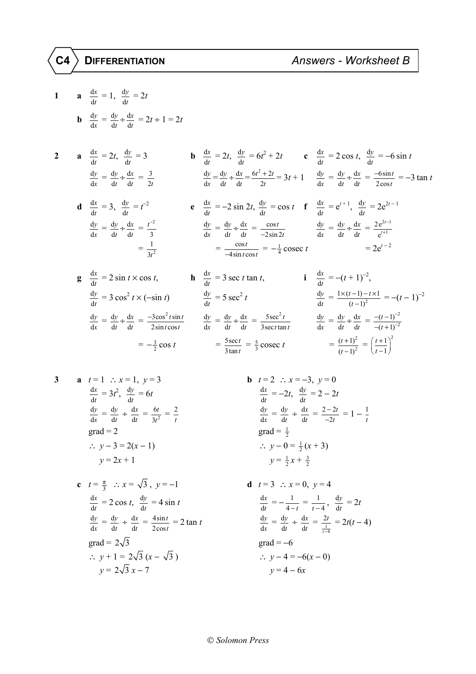## **C4 DIFFERENTIATION** *Answers - Worksheet B*

1 **a** 
$$
\frac{dx}{dt} = 1
$$
,  $\frac{dy}{dt} = 2t$   
\n**b**  $\frac{dy}{dx} = \frac{dy}{dt} + \frac{dx}{dt} = 2t + 1 = 2t$   
\n2 **a**  $\frac{dx}{dt} = 2t$ ,  $\frac{dy}{dt} = 3$   
\n $\frac{dy}{dx} = \frac{dy}{dt} + \frac{dx}{dt} = \frac{3}{2t}$   
\n**b**  $\frac{dx}{dt} = 2t$ ,  $\frac{dy}{dt} = 6t^2 + 2t$   
\n $\frac{dx}{dt} = 2 \cos t$ ,  $\frac{dy}{dt} = -6 \sin t$   
\n $\frac{dy}{dx} = \frac{dy}{dt} + \frac{dx}{dt} = \frac{3}{2t}$   
\n**c**  $\frac{dx}{dt} = 4t^2 + 4t$   
\n $\frac{dy}{dx} = 4t^2 + 4t$   
\n $\frac{dy}{dx} = 4t^2 + 4t$   
\n $\frac{dy}{dx} = 4t^2 + 4t$   
\n $\frac{dy}{dx} = -2 \sin 2t$ ,  $\frac{dy}{dt} = \cos t$   
\n**f**  $\frac{dx}{dt} = e^{t+1}$ ,  $\frac{dy}{dt} = 2e^{2t-1}$   
\n $\frac{dy}{dt} = \frac{dy}{dt} + \frac{dx}{dt} = \frac{2e^{2t-1}}{2 \cos t}$   
\n $\frac{dy}{dx} = \frac{dy}{dt} + \frac{dx}{dt} = \frac{1}{2 \sin 2t}$   
\n $\frac{dy}{dx} = \frac{dy}{dt} + \frac{dx}{dt} = \frac{2e^{2t-1}}{e^{t+1}}$   
\n $= \frac{1}{3t^2}$   
\n**g**  $\frac{dx}{dt} = 2 \sin t \times \cos t$ , **h**  $\frac{dx}{dt} = 3 \sec t \tan t$ , **i**  $\frac{dx}{dt} = -(t+1)^{-2}$ ,  
\n $\frac{dy}{dt} = 3 \cos^2 t \times (-\sin t)$   
\n $\frac{dy}{dt$ 

3 **a** 
$$
t = 1
$$
  $\therefore x = 1, y = 3$   
\n $\frac{dx}{dt} = 3t^2, \frac{dy}{dt} = 6t$   
\n $\frac{dy}{dx} = \frac{dy}{dt} \div \frac{dx}{dt} = \frac{6t}{3t^2} = \frac{2}{t}$   
\ngrad = 2  
\n $\therefore y - 3 = 2(x - 1)$   
\n $y = 2x + 1$   
\n**b**  $t = 2$   $\therefore x = -3, y = 0$   
\n $\frac{dx}{dt} = -2t, \frac{dy}{dt} = 2 - 2t$   
\n $\frac{dy}{dx} = \frac{dy}{dt} \div \frac{dx}{dt} = \frac{2 - 2t}{-2t}$   
\n $\therefore y - 0 = \frac{1}{2}(x + 3)$   
\n $y = \frac{1}{2}x + \frac{3}{2}$ 

**c** 
$$
t = \frac{\pi}{3}
$$
  $\therefore x = \sqrt{3}$ ,  $y = -1$   
\n $\frac{dx}{dt} = 2 \cos t$ ,  $\frac{dy}{dt} = 4 \sin t$   
\n $\frac{dy}{dx} = \frac{dy}{dt} \div \frac{dx}{dt} = \frac{4 \sin t}{2 \cos t} = 2 \tan t$   
\ngrad =  $2\sqrt{3}$   
\n $\therefore y + 1 = 2\sqrt{3}(x - \sqrt{3})$   
\n $y = 2\sqrt{3}x - 7$   
\n**d**  $t = 3 \therefore x = 0$ ,  $y = 4$   
\n $\frac{dx}{dt} = -\frac{1}{4 - t} = \frac{1}{t - 4}$ ,  
\n $\frac{dy}{dx} = \frac{dy}{dt} \div \frac{dx}{dt} = \frac{2t}{\frac{1}{t - 4}}$   
\ngrad = -6  
\n $\therefore y - 4 = -6(x - 0)$   
\n $y = 4 - 6x$ 

**b** 
$$
t = 2
$$
  $\therefore x = -3, y = 0$   
\n $\frac{dx}{dt} = -2t, \frac{dy}{dt} = 2 - 2t$   
\n $\frac{dy}{dx} = \frac{dy}{dt} \div \frac{dx}{dt} = \frac{2 - 2t}{-2t} = 1 - \frac{1}{t}$   
\ngrad  $= \frac{1}{2}$   
\n $\therefore y - 0 = \frac{1}{2}(x + 3)$   
\n $y = \frac{1}{2}x + \frac{3}{2}$ 

$$
d \quad t = 3 \quad \therefore \quad x = 0, \quad y = 4
$$
\n
$$
\frac{dx}{dt} = -\frac{1}{4 - t} = \frac{1}{t - 4}, \quad \frac{dy}{dt} = 2t
$$
\n
$$
\frac{dy}{dx} = \frac{dy}{dt} \div \frac{dx}{dt} = \frac{2t}{\frac{1}{t - 4}} = 2t(t - 4)
$$
\n
$$
grad = -6
$$
\n
$$
\therefore \quad y - 4 = -6(x - 0)
$$
\n
$$
y = 4 - 6x
$$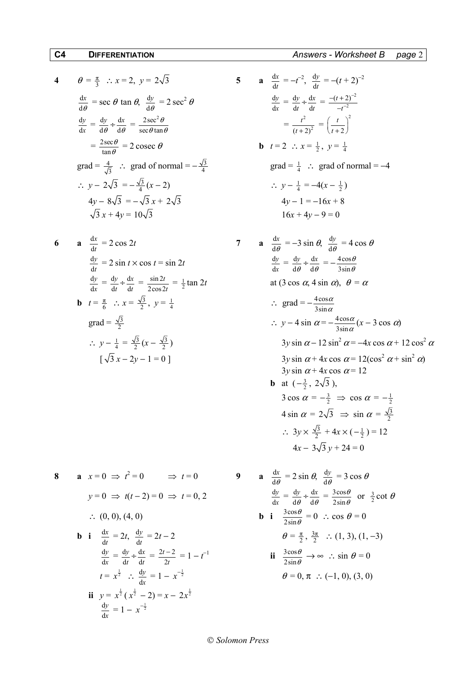4 
$$
\theta = \frac{\pi}{3}
$$
 :  $x = 2$ ,  $y = 2\sqrt{3}$   
\n $\frac{dx}{d\theta} = \sec \theta \tan \theta$ ,  $\frac{dy}{d\theta} = 2 \sec^2 \theta$   
\n $\frac{dy}{dx} = \frac{dy}{d\theta} \div \frac{dx}{d\theta} = \frac{2 \sec^2 \theta}{\sec \theta \tan \theta}$   
\n $= \frac{2 \sec \theta}{\tan \theta} = 2 \csc \theta$   
\n $\sec \theta = 2 \csc \theta$   
\n $\sec \theta = 2 \csc \theta$   
\n $\sec \theta = 2 \csc \theta$   
\n $\sec \theta = 2 \csc \theta$   
\n $\sec \theta = 2 \csc \theta$   
\n $\sec \theta = 2 \csc \theta$   
\n $\sec \theta = 2 \csc \theta$   
\n $\sec \theta = 2 \csc \theta$   
\n $\sec \theta = 2 \csc \theta$   
\n $\sec \theta = 2 \csc \theta$   
\n $\sec \theta = 2 \csc \theta$   
\n $\sec \theta = 2 \csc \theta$   
\n $\sec \theta = 2 \csc \theta$   
\n $\sec \theta = 2 \csc \theta$   
\n $\sec \theta = 2 \csc \theta$   
\n $\sec \theta = 2 \csc \theta$   
\n $\sec \theta = 2 \csc \theta$   
\n $\sec \theta = 2 \csc \theta$   
\n $\sec \theta = 2 \csc \theta$   
\n $\sec \theta = 2 \csc \theta$   
\n $\sec \theta = 2 \csc \theta$   
\n $\sec \theta = 2 \csc \theta$   
\n $\sec \theta = 2 \csc \theta$   
\n $\sec \theta = 2 \csc \theta$   
\n $\sec \theta = 2 \csc \theta$   
\n $\sec \theta = 2 \csc \theta$   
\n $\sec \theta = 2 \csc \theta$   
\n $\sec \theta = 2 \csc \theta$   
\n $\sec \theta = 2 \csc \theta$   
\n $\sec \theta =$ 

6 **a** 
$$
\frac{dx}{dt} = 2 \cos 2t
$$
  
\n $\frac{dy}{dt} = 2 \sin t \times \cos t = \sin 2t$   
\n $\frac{dy}{dx} = \frac{dy}{dt} \div \frac{dx}{dt} = \frac{\sin 2t}{2 \cos 2t} = \frac{1}{2} \tan 2t$   
\n**b**  $t = \frac{\pi}{6} \therefore x = \frac{\sqrt{3}}{2}$ ,  $y = \frac{1}{4}$   
\n $\therefore y - \frac{1}{4} = \frac{\sqrt{3}}{2}(x - \frac{\sqrt{3}}{2})$   
\n $\left[\sqrt{3}x - 2y - 1 = 0\right]$   
\n $\frac{dy}{dx} = \frac{dy}{dt} \div \frac{dx}{dt} = -\frac{4 \cos \alpha}{3 \sin \alpha}$   
\n $\therefore y - 4 \sin \alpha = -\frac{4 \cos \alpha}{3 \sin \alpha}(x - \alpha)$   
\n $\frac{dy}{dx} = \frac{dy}{d\theta} \div \frac{dx}{d\theta} = -\frac{4 \cos \alpha}{3 \sin \theta}$   
\n $\therefore y - 4 \sin \alpha = -\frac{4 \cos \alpha}{3 \sin \alpha}(x - \alpha)$   
\n $\frac{dy}{dx} = \frac{dy}{d\theta} \div \frac{dx}{d\theta} = -\frac{4 \cos \alpha}{3 \sin \theta}$   
\n $\therefore y - 4 \sin \alpha = -\frac{4 \cos \alpha}{3 \sin \alpha}(x - \alpha)$   
\n $\frac{dy}{dx} = \frac{dy}{d\theta} \div \frac{dx}{d\theta} = -\frac{4 \cos \alpha}{3 \sin \theta}$ 

8 **a** 
$$
x = 0 \Rightarrow t^2 = 0 \Rightarrow t = 0
$$
  
\n $y = 0 \Rightarrow t(t - 2) = 0 \Rightarrow t = 0, 2$   
\n $\therefore (0, 0), (4, 0)$   
\n**b i**  $\frac{dx}{dt} = 2t, \frac{dy}{dt} = 2t - 2$   
\n $\frac{dy}{dx} = \frac{dy}{dt} \div \frac{dx}{dt} = \frac{2t - 2}{2t} = 1 - t^{-1}$   
\n $t = x^{\frac{1}{2}} \therefore \frac{dy}{dx} = 1 - x^{-\frac{1}{2}}$   
\n**ii**  $\frac{3 \cos \theta}{2 \sin \theta}$   
\n $t = x^{\frac{1}{2}} \therefore \frac{dy}{dx} = 1 - x^{-\frac{1}{2}}$   
\n**iii**  $y = x^{\frac{1}{2}}(x^{\frac{1}{2}} - 2) = x - 2x^{\frac{1}{2}}$   
\n $\frac{dy}{dx} = 1 - x^{-\frac{1}{2}}$ 

$$
5 \qquad \mathbf{a} \quad \frac{dx}{dt} = -t^{-2}, \quad \frac{dy}{dt} = -(t+2)^{-2}
$$
\n
$$
\frac{dy}{dx} = \frac{dy}{dt} \div \frac{dx}{dt} = \frac{-(t+2)^{-2}}{-t^{-2}}
$$
\n
$$
= \frac{t^2}{(t+2)^2} = \left(\frac{t}{t+2}\right)^2
$$
\n
$$
\mathbf{b} \quad t = 2 \quad \therefore \quad x = \frac{1}{2}, \quad y = \frac{1}{4}
$$

$$
\text{grad} = \frac{1}{4} \quad \therefore \quad \text{grad of normal} = -4
$$
\n
$$
\therefore \quad y - \frac{1}{4} = -4(x - \frac{1}{2})
$$
\n
$$
4y - 1 = -16x + 8
$$
\n
$$
16x + 4y - 9 = 0
$$

6 **a** 
$$
\frac{dx}{dt} = 2 \cos 2t
$$
  
\n $\frac{dy}{dt} = 2 \sin t \times \cos t = \sin 2t$   
\n $\frac{dy}{dx} = \frac{dy}{dt} + \frac{dx}{dt} = \frac{\sin 2t}{2 \cos 2t} = \frac{1}{2} \tan 2t$   
\n**b**  $t = \frac{\pi}{6}$   $\therefore x = \frac{\sqrt{3}}{2}$ ,  $y = \frac{1}{4}$   
\n $\therefore y - \frac{1}{4} = \frac{\sqrt{3}}{2} (x - \frac{\sqrt{3}}{2})$   
\n $[\sqrt{3}x - 2y - 1 = 0]$   
\n**c**  $\frac{\pi}{3}$   
\n**d**  $\frac{\pi}{2}$   
\n**e**  $\frac{\pi}{2}$   
\n**f**  $\frac{\pi}{3}$   
\n**g**  $\frac{\pi}{3}$   
\n $\frac{\pi}{3}$   
\n $\frac{\pi}{3}$   
\n $\frac{\pi}{3}$   
\n $\frac{\pi}{3}$   
\n $\frac{\pi}{3}$   
\n $\frac{\pi}{3}$   
\n $\frac{\pi}{3}$   
\n $\frac{\pi}{3}$   
\n $\frac{\pi}{3}$   
\n $\frac{\pi}{3}$   
\n $\frac{\pi}{3}$   
\n $\frac{\pi}{3}$   
\n $\frac{\pi}{3}$   
\n $\frac{\pi}{3}$   
\n $\frac{\pi}{3}$   
\n $\frac{\pi}{3}$   
\n $\frac{\pi}{3}$   
\n $\frac{\pi}{3}$   
\n $\frac{\pi}{3}$   
\n $\frac{\pi}{3}$   
\n $\frac{\pi}{3}$   
\n $\frac{\pi}{3}$   
\n $\frac{\pi}{3}$   
\n $\frac{\pi}{3}$   
\n $\frac{\pi}{3}$   
\n $\frac{\pi}{3}$   
\n $\frac{\pi}{3}$   
\n $\frac{\pi}{3}$   
\n $\frac{\pi}{3}$   
\n $\frac{\pi}{3}$   
\n $\frac{\$ 

$$
t = 0
$$
\n9\na\n
$$
\frac{dx}{d\theta} = 2 \sin \theta, \quad \frac{dy}{d\theta} = 3 \cos \theta
$$
\n
$$
t = 0, 2
$$
\n
$$
\frac{dy}{dx} = \frac{dy}{d\theta} \div \frac{dx}{d\theta} = \frac{3 \cos \theta}{2 \sin \theta} \text{ or } \frac{3}{2} \cot \theta
$$
\n
$$
\frac{3 \cos \theta}{2 \sin \theta} = 0 \therefore \cos \theta = 0
$$
\n
$$
\theta = \frac{\pi}{2}, \frac{3\pi}{2} \therefore (1, 3), (1, -3)
$$
\n
$$
= 1 - t^{-1}
$$
\nii\n
$$
\frac{3 \cos \theta}{2 \sin \theta} \to \infty \therefore \sin \theta = 0
$$
\n
$$
\theta = 0, \pi \therefore (-1, 0), (3, 0)
$$

## *Solomon Press*